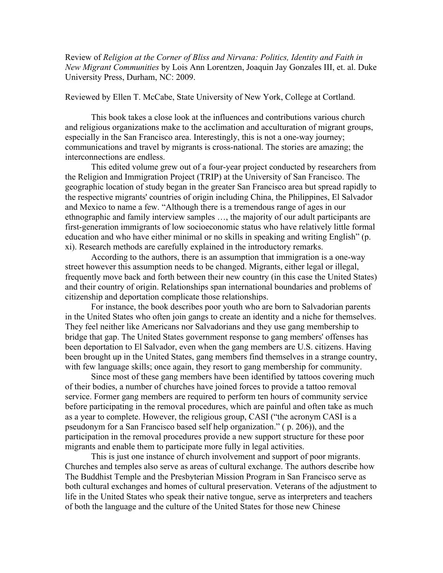Review of *Religion at the Corner of Bliss and Nirvana: Politics, Identity and Faith in New Migrant Communities* by Lois Ann Lorentzen, Joaquin Jay Gonzales III, et. al. Duke University Press, Durham, NC: 2009.

## Reviewed by Ellen T. McCabe, State University of New York, College at Cortland.

This book takes a close look at the influences and contributions various church and religious organizations make to the acclimation and acculturation of migrant groups, especially in the San Francisco area. Interestingly, this is not a one-way journey; communications and travel by migrants is cross-national. The stories are amazing; the interconnections are endless.

This edited volume grew out of a four-year project conducted by researchers from the Religion and Immigration Project (TRIP) at the University of San Francisco. The geographic location of study began in the greater San Francisco area but spread rapidly to the respective migrants' countries of origin including China, the Philippines, El Salvador and Mexico to name a few. "Although there is a tremendous range of ages in our ethnographic and family interview samples …, the majority of our adult participants are first-generation immigrants of low socioeconomic status who have relatively little formal education and who have either minimal or no skills in speaking and writing English" (p. xi). Research methods are carefully explained in the introductory remarks.

According to the authors, there is an assumption that immigration is a one-way street however this assumption needs to be changed. Migrants, either legal or illegal, frequently move back and forth between their new country (in this case the United States) and their country of origin. Relationships span international boundaries and problems of citizenship and deportation complicate those relationships.

For instance, the book describes poor youth who are born to Salvadorian parents in the United States who often join gangs to create an identity and a niche for themselves. They feel neither like Americans nor Salvadorians and they use gang membership to bridge that gap. The United States government response to gang members' offenses has been deportation to El Salvador, even when the gang members are U.S. citizens. Having been brought up in the United States, gang members find themselves in a strange country, with few language skills; once again, they resort to gang membership for community.

Since most of these gang members have been identified by tattoos covering much of their bodies, a number of churches have joined forces to provide a tattoo removal service. Former gang members are required to perform ten hours of community service before participating in the removal procedures, which are painful and often take as much as a year to complete. However, the religious group, CASI ("the acronym CASI is a pseudonym for a San Francisco based self help organization." ( p. 206)), and the participation in the removal procedures provide a new support structure for these poor migrants and enable them to participate more fully in legal activities.

This is just one instance of church involvement and support of poor migrants. Churches and temples also serve as areas of cultural exchange. The authors describe how The Buddhist Temple and the Presbyterian Mission Program in San Francisco serve as both cultural exchanges and homes of cultural preservation. Veterans of the adjustment to life in the United States who speak their native tongue, serve as interpreters and teachers of both the language and the culture of the United States for those new Chinese